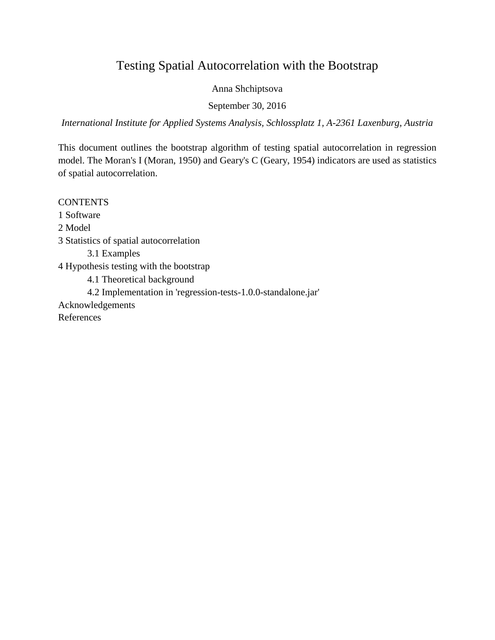# Testing Spatial Autocorrelation with the Bootstrap

Anna Shchiptsova

September 30, 2016

*International Institute for Applied Systems Analysis, Schlossplatz 1, A-2361 Laxenburg, Austria*

This document outlines the bootstrap algorithm of testing spatial autocorrelation in regression model. The Moran's I (Moran, 1950) and Geary's C (Geary, 1954) indicators are used as statistics of spatial autocorrelation.

**CONTENTS** 1 Software 2 Model 3 Statistics of spatial autocorrelation 3.1 Examples 4 Hypothesis testing with the bootstrap 4.1 Theoretical background 4.2 Implementation in 'regression-tests-1.0.0-standalone.jar' Acknowledgements References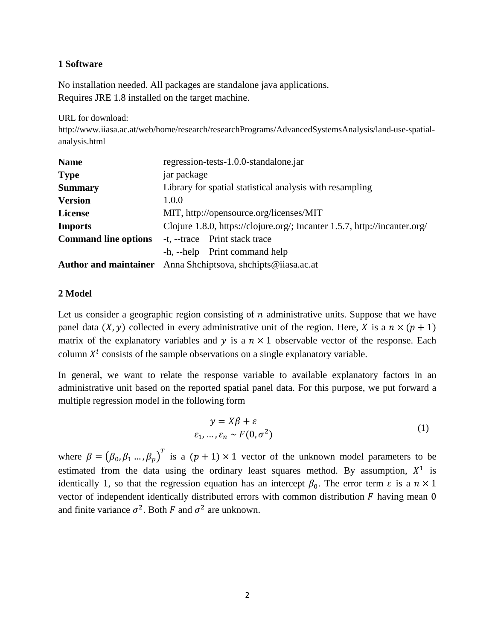# **1 Software**

No installation needed. All packages are standalone java applications. Requires JRE 1.8 installed on the target machine.

URL for download:

http://www.iiasa.ac.at/web/home/research/researchPrograms/AdvancedSystemsAnalysis/land-use-spatialanalysis.html

| <b>Name</b>                  | regression-tests-1.0.0-standalone.jar                                     |
|------------------------------|---------------------------------------------------------------------------|
| <b>Type</b>                  | jar package                                                               |
| <b>Summary</b>               | Library for spatial statistical analysis with resampling                  |
| <b>Version</b>               | 1.0.0                                                                     |
| License                      | MIT, http://opensource.org/licenses/MIT                                   |
| <b>Imports</b>               | Clojure 1.8.0, https://clojure.org/; Incanter 1.5.7, http://incanter.org/ |
| <b>Command line options</b>  | -t, --trace Print stack trace                                             |
|                              | -h, --help Print command help                                             |
| <b>Author and maintainer</b> | Anna Shchiptsova, shchipts@iiasa.ac.at                                    |

# **2 Model**

Let us consider a geographic region consisting of  $n$  administrative units. Suppose that we have panel data  $(X, y)$  collected in every administrative unit of the region. Here, X is a  $n \times (p + 1)$ matrix of the explanatory variables and  $y$  is a  $n \times 1$  observable vector of the response. Each column  $X^i$  consists of the sample observations on a single explanatory variable.

In general, we want to relate the response variable to available explanatory factors in an administrative unit based on the reported spatial panel data. For this purpose, we put forward a multiple regression model in the following form

$$
y = X\beta + \varepsilon
$$
  
\n
$$
\varepsilon_1, ..., \varepsilon_n \sim F(0, \sigma^2)
$$
 (1)

where  $\beta = (\beta_0, \beta_1, ..., \beta_p)^T$  is a  $(p + 1) \times 1$  vector of the unknown model parameters to be estimated from the data using the ordinary least squares method. By assumption,  $X^1$  is identically 1, so that the regression equation has an intercept  $\beta_0$ . The error term  $\varepsilon$  is a  $n \times 1$ vector of independent identically distributed errors with common distribution  $F$  having mean  $0$ and finite variance  $\sigma^2$ . Both F and  $\sigma^2$  are unknown.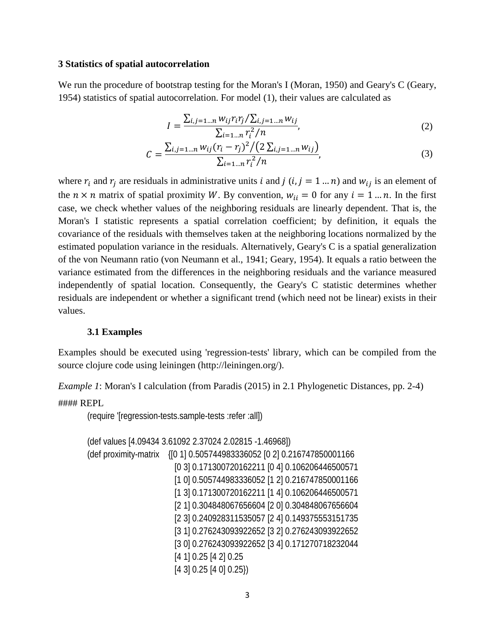#### **3 Statistics of spatial autocorrelation**

We run the procedure of bootstrap testing for the Moran's I (Moran, 1950) and Geary's C (Geary, 1954) statistics of spatial autocorrelation. For model (1), their values are calculated as

$$
I = \frac{\sum_{i,j=1...n} w_{ij} r_i r_j / \sum_{i,j=1...n} w_{ij}}{\sum_{i=1...n} r_i^2 / n},
$$
\n(2)

$$
C = \frac{\sum_{i,j=1\ldots n} w_{ij} (r_i - r_j)^2 / (2 \sum_{i,j=1\ldots n} w_{ij})}{\sum_{i=1\ldots n} r_i^2 / n},
$$
\n(3)

where  $r_i$  and  $r_j$  are residuals in administrative units *i* and *j* (*i*, *j* = 1 ... *n*) and  $w_{ij}$  is an element of the  $n \times n$  matrix of spatial proximity W. By convention,  $w_{ii} = 0$  for any  $i = 1 ... n$ . In the first case, we check whether values of the neighboring residuals are linearly dependent. That is, the Moran's I statistic represents a spatial correlation coefficient; by definition, it equals the covariance of the residuals with themselves taken at the neighboring locations normalized by the estimated population variance in the residuals. Alternatively, Geary's C is a spatial generalization of the von Neumann ratio (von Neumann et al., 1941; Geary, 1954). It equals a ratio between the variance estimated from the differences in the neighboring residuals and the variance measured independently of spatial location. Consequently, the Geary's C statistic determines whether residuals are independent or whether a significant trend (which need not be linear) exists in their values.

#### **3.1 Examples**

Examples should be executed using 'regression-tests' library, which can be compiled from the source clojure code using leiningen (http://leiningen.org/).

*Example 1*: Moran's I calculation (from Paradis (2015) in 2.1 Phylogenetic Distances, pp. 2-4)

#### REPL

(require '[regression-tests.sample-tests :refer :all])

```
(def values [4.09434 3.61092 2.37024 2.02815 -1.46968])
(def proximity-matrix {[0 1] 0.505744983336052 [0 2] 0.216747850001166
                      [0 3] 0.171300720162211 [0 4] 0.106206446500571
                      [1 0] 0.505744983336052 [1 2] 0.216747850001166
                      [1 3] 0.171300720162211 [1 4] 0.106206446500571
                      [2 1] 0.304848067656604 [2 0] 0.304848067656604
                      [2 3] 0.240928311535057 [2 4] 0.149375553151735
                      [3 1] 0.276243093922652 [3 2] 0.276243093922652
                      [3 0] 0.276243093922652 [3 4] 0.171270718232044
                      [4 1] 0.25 [4 2] 0.25
                      [4 3] 0.25 [4 0] 0.25})
```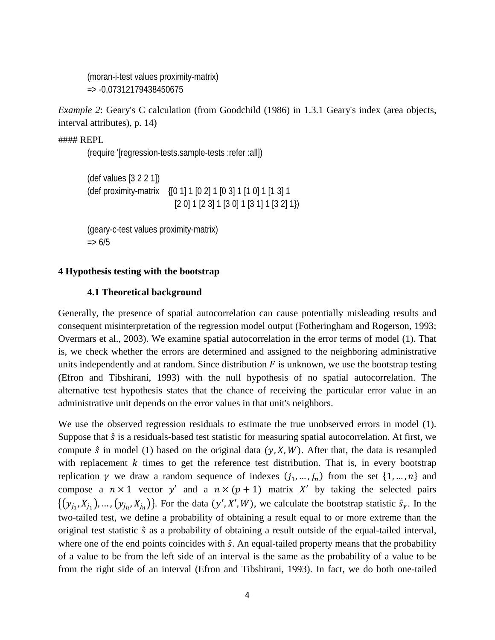(moran-i-test values proximity-matrix) => -0.07312179438450675

*Example 2*: Geary's C calculation (from Goodchild (1986) in 1.3.1 Geary's index (area objects, interval attributes), p. 14)

#### REPL

(require '[regression-tests.sample-tests :refer :all])

(def values [3 2 2 1]) (def proximity-matrix {[0 1] 1 [0 2] 1 [0 3] 1 [1 0] 1 [1 3] 1 [2 0] 1 [2 3] 1 [3 0] 1 [3 1] 1 [3 2] 1})

(geary-c-test values proximity-matrix)  $\Rightarrow 6/5$ 

## **4 Hypothesis testing with the bootstrap**

#### **4.1 Theoretical background**

Generally, the presence of spatial autocorrelation can cause potentially misleading results and consequent misinterpretation of the regression model output (Fotheringham and Rogerson, 1993; Overmars et al., 2003). We examine spatial autocorrelation in the error terms of model (1). That is, we check whether the errors are determined and assigned to the neighboring administrative units independently and at random. Since distribution  $F$  is unknown, we use the bootstrap testing (Efron and Tibshirani, 1993) with the null hypothesis of no spatial autocorrelation. The alternative test hypothesis states that the chance of receiving the particular error value in an administrative unit depends on the error values in that unit's neighbors.

We use the observed regression residuals to estimate the true unobserved errors in model (1). Suppose that  $\hat{s}$  is a residuals-based test statistic for measuring spatial autocorrelation. At first, we compute  $\hat{s}$  in model (1) based on the original data (y, X, W). After that, the data is resampled with replacement  $k$  times to get the reference test distribution. That is, in every bootstrap replication  $\gamma$  we draw a random sequence of indexes  $(j_1, ..., j_n)$  from the set  $\{1, ..., n\}$  and compose a  $n \times 1$  vector y' and a  $n \times (p + 1)$  matrix X' by taking the selected pairs  $\{(y_{j_1}, X_{j_1}), ..., (y_{j_n}, X_{j_n})\}$ . For the data  $(y', X', W)$ , we calculate the bootstrap statistic  $\hat{s}_{\gamma}$ . In the two-tailed test, we define a probability of obtaining a result equal to or more extreme than the original test statistic  $\hat{s}$  as a probability of obtaining a result outside of the equal-tailed interval, where one of the end points coincides with  $\hat{s}$ . An equal-tailed property means that the probability of a value to be from the left side of an interval is the same as the probability of a value to be from the right side of an interval (Efron and Tibshirani, 1993). In fact, we do both one-tailed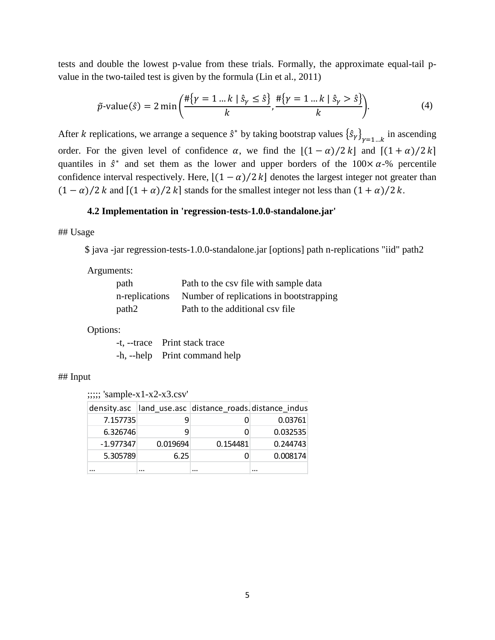tests and double the lowest p-value from these trials. Formally, the approximate equal-tail pvalue in the two-tailed test is given by the formula (Lin et al., 2011)

$$
\tilde{p}\text{-value}(\hat{s}) = 2 \min\left(\frac{\#\{\gamma = 1 \dots k \mid \hat{s}_{\gamma} \le \hat{s}\}}{k}, \frac{\#\{\gamma = 1 \dots k \mid \hat{s}_{\gamma} > \hat{s}\}}{k}\right). \tag{4}
$$

After *k* replications, we arrange a sequence  $\hat{s}^*$  by taking bootstrap values  $\{\hat{s}_\gamma\}_{\gamma=1...k}$  in ascending order. For the given level of confidence  $\alpha$ , we find the  $|(1 - \alpha)/2 k|$  and  $[(1 + \alpha)/2 k]$ quantiles in  $\hat{s}^*$  and set them as the lower and upper borders of the  $100 \times \alpha$ -% percentile confidence interval respectively. Here,  $\left[\frac{(1-\alpha)}{2k}\right]$  denotes the largest integer not greater than  $(1 - \alpha)/2 k$  and  $[(1 + \alpha)/2 k]$  stands for the smallest integer not less than  $(1 + \alpha)/2 k$ .

## **4.2 Implementation in 'regression-tests-1.0.0-standalone.jar'**

## Usage

\$ java -jar regression-tests-1.0.0-standalone.jar [options] path n-replications "iid" path2

### Arguments:

| path           | Path to the csv file with sample data   |
|----------------|-----------------------------------------|
| n-replications | Number of replications in bootstrapping |
| path2          | Path to the additional csy file         |

## Options:

-t, --trace Print stack trace -h, --help Print command help

#### ## Input

;;;;; 'sample-x1-x2-x3.csv'

|             |          | density.asc  land_use.asc  distance_roads.distance_indus |          |
|-------------|----------|----------------------------------------------------------|----------|
| 7.157735    |          |                                                          | 0.03761  |
| 6.326746    | q        |                                                          | 0.032535 |
| $-1.977347$ | 0.019694 | 0.154481                                                 | 0.244743 |
| 5.305789    | 6.25     |                                                          | 0.008174 |
|             |          |                                                          |          |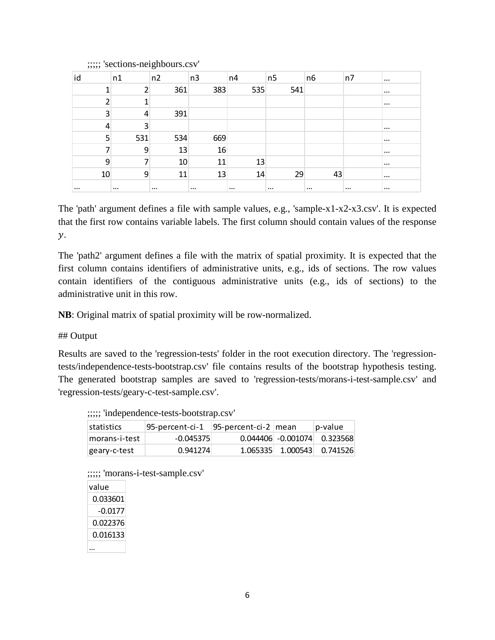| id       | n1       | n2       | n3       | n4       | n <sub>5</sub> | n6       | n7       | $\cdots$ |
|----------|----------|----------|----------|----------|----------------|----------|----------|----------|
|          | 2        | 361      | 383      | 535      | 541            |          |          | $\cdots$ |
|          |          |          |          |          |                |          |          | $\cdots$ |
| 3        | 4        | 391      |          |          |                |          |          |          |
| 4        | 3        |          |          |          |                |          |          | $\cdots$ |
| 5        | 531      | 534      | 669      |          |                |          |          | $\cdots$ |
|          | 9        | 13       | 16       |          |                |          |          | $\cdots$ |
| 9        |          | 10       | 11       | 13       |                |          |          | $\cdots$ |
| 10       | 9        | 11       | 13       | 14       | 29             | 43       |          | $\cdots$ |
| $\cdots$ | $\cdots$ | $\cdots$ | $\cdots$ | $\cdots$ | $\cdots$       | $\cdots$ | $\cdots$ | $\cdots$ |

;;;;; 'sections-neighbours.csv'

The 'path' argument defines a file with sample values, e.g., 'sample-x1-x2-x3.csv'. It is expected that the first row contains variable labels. The first column should contain values of the response  $\mathcal{V}$ .

The 'path2' argument defines a file with the matrix of spatial proximity. It is expected that the first column contains identifiers of administrative units, e.g., ids of sections. The row values contain identifiers of the contiguous administrative units (e.g., ids of sections) to the administrative unit in this row.

**NB**: Original matrix of spatial proximity will be row-normalized.

# ## Output

Results are saved to the 'regression-tests' folder in the root execution directory. The 'regressiontests/independence-tests-bootstrap.csv' file contains results of the bootstrap hypothesis testing. The generated bootstrap samples are saved to 'regression-tests/morans-i-test-sample.csv' and 'regression-tests/geary-c-test-sample.csv'.

| statistics    | 95-percent-ci-1 | 95-percent-ci-2 mean | p-value                         |
|---------------|-----------------|----------------------|---------------------------------|
| morans-i-test | $-0.045375$     |                      | $0.044406$ $-0.001074$ 0.323568 |
| geary-c-test  | 0.941274        |                      | 1.065335 1.000543 0.741526      |

| ;;;;; 'independence-tests-bootstrap.csv' |
|------------------------------------------|
|                                          |

| ;;;;; 'morans-i-test-sample.csv' |
|----------------------------------|
|                                  |

| value    |  |
|----------|--|
| 0.033601 |  |
| -0.0177  |  |
| 0.022376 |  |
| 0.016133 |  |
|          |  |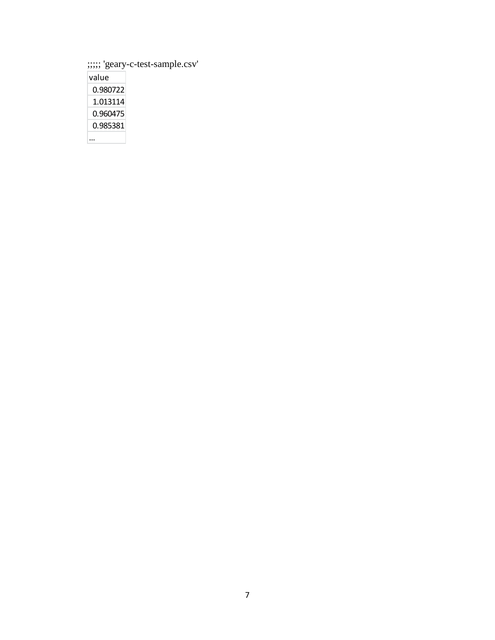;;;;; 'geary-c-test-sample.csv'

| value    |
|----------|
| 0.980722 |
| 1.013114 |
| 0.960475 |
| 0.985381 |
|          |